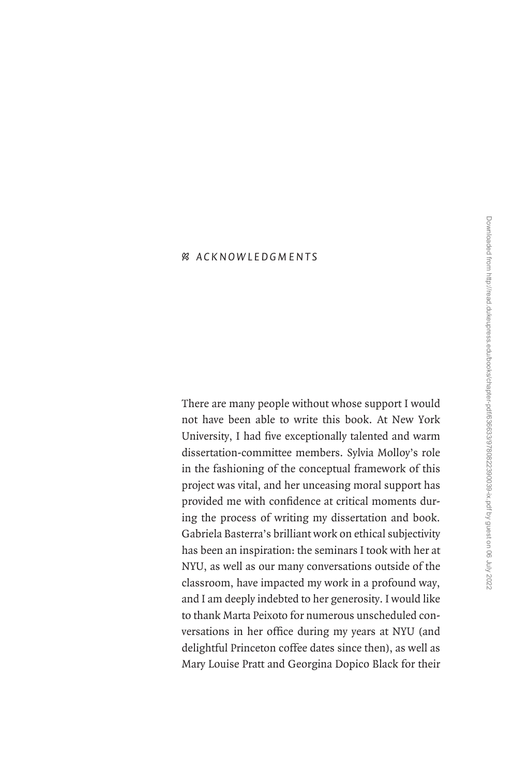## • *A c k n o wl edg m e n t s*

There are many people without whose support I would not have been able to write this book. At New York University, I had five exceptionally talented and warm dissertation-committee members. Sylvia Molloy's role in the fashioning of the conceptual framework of this project was vital, and her unceasing moral support has provided me with confidence at critical moments during the process of writing my dissertation and book. Gabriela Basterra's brilliant work on ethical subjectivity has been an inspiration: the seminars I took with her at NYU, as well as our many conversations outside of the classroom, have impacted my work in a profound way, and I am deeply indebted to her generosity. I would like to thank Marta Peixoto for numerous unscheduled conversations in her office during my years at NYU (and delightful Princeton coffee dates since then), as well as Mary Louise Pratt and Georgina Dopico Black for their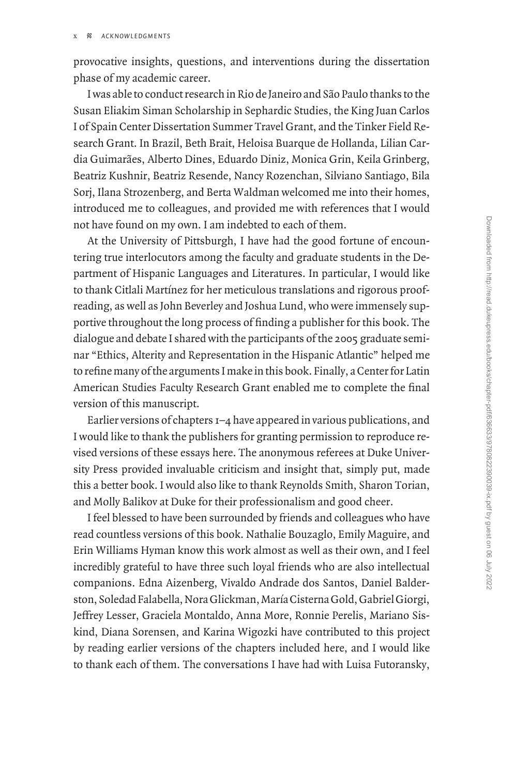provocative insights, questions, and interventions during the dissertation phase of my academic career.

I was able to conduct research in Rio de Janeiro and São Paulo thanks to the Susan Eliakim Siman Scholarship in Sephardic Studies, the King Juan Carlos I of Spain Center Dissertation Summer Travel Grant, and the Tinker Field Research Grant. In Brazil, Beth Brait, Heloisa Buarque de Hollanda, Lilian Cardia Guimarães, Alberto Dines, Eduardo Diniz, Monica Grin, Keila Grinberg, Beatriz Kushnir, Beatriz Resende, Nancy Rozenchan, Silviano Santiago, Bila Sorj, Ilana Strozenberg, and Berta Waldman welcomed me into their homes, introduced me to colleagues, and provided me with references that I would not have found on my own. I am indebted to each of them.

At the University of Pittsburgh, I have had the good fortune of encountering true interlocutors among the faculty and graduate students in the Department of Hispanic Languages and Literatures. In particular, I would like to thank Citlali Martínez for her meticulous translations and rigorous proofreading, as well as John Beverley and Joshua Lund, who were immensely supportive throughout the long process of finding a publisher for this book. The dialogue and debate I shared with the participants of the 2005 graduate seminar "Ethics, Alterity and Representation in the Hispanic Atlantic" helped me to refine many of the arguments I make in this book. Finally, a Center for Latin American Studies Faculty Research Grant enabled me to complete the final version of this manuscript.

Earlier versions of chapters 1–4 have appeared in various publications, and I would like to thank the publishers for granting permission to reproduce revised versions of these essays here. The anonymous referees at Duke University Press provided invaluable criticism and insight that, simply put, made this a better book. I would also like to thank Reynolds Smith, Sharon Torian, and Molly Balikov at Duke for their professionalism and good cheer.

I feel blessed to have been surrounded by friends and colleagues who have read countless versions of this book. Nathalie Bouzaglo, Emily Maguire, and Erin Williams Hyman know this work almost as well as their own, and I feel incredibly grateful to have three such loyal friends who are also intellectual companions. Edna Aizenberg, Vivaldo Andrade dos Santos, Daniel Balderston, Soledad Falabella, Nora Glickman, María Cisterna Gold, Gabriel Giorgi, Jeffrey Lesser, Graciela Montaldo, Anna More, Ronnie Perelis, Mariano Siskind, Diana Sorensen, and Karina Wigozki have contributed to this project by reading earlier versions of the chapters included here, and I would like to thank each of them. The conversations I have had with Luisa Futoransky,